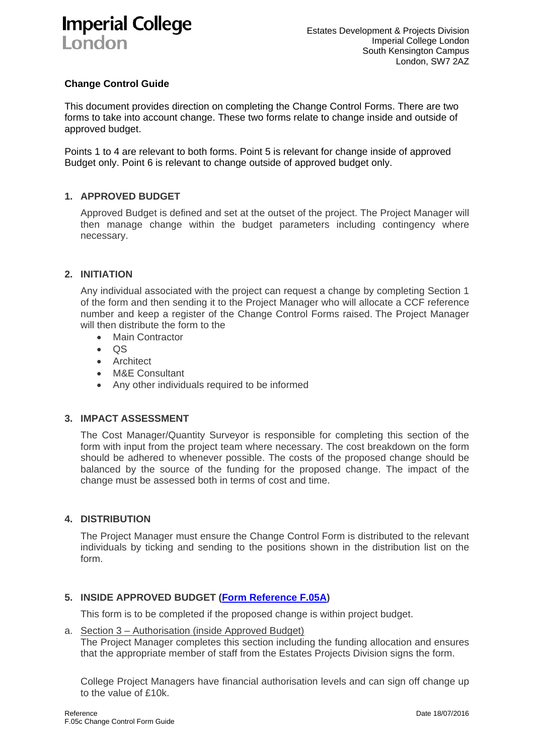## **Imperial College** London

### **Change Control Guide**

This document provides direction on completing the Change Control Forms. There are two forms to take into account change. These two forms relate to change inside and outside of approved budget.

Points 1 to 4 are relevant to both forms. Point 5 is relevant for change inside of approved Budget only. Point 6 is relevant to change outside of approved budget only.

#### **1. APPROVED BUDGET**

Approved Budget is defined and set at the outset of the project. The Project Manager will then manage change within the budget parameters including contingency where necessary.

#### **2. INITIATION**

Any individual associated with the project can request a change by completing Section 1 of the form and then sending it to the Project Manager who will allocate a CCF reference number and keep a register of the Change Control Forms raised. The Project Manager will then distribute the form to the

- Main Contractor
- $\bullet$  QS
- **•** Architect
- M&E Consultant
- Any other individuals required to be informed

#### **3. IMPACT ASSESSMENT**

The Cost Manager/Quantity Surveyor is responsible for completing this section of the form with input from the project team where necessary. The cost breakdown on the form should be adhered to whenever possible. The costs of the proposed change should be balanced by the source of the funding for the proposed change. The impact of the change must be assessed both in terms of cost and time.

#### **4. DISTRIBUTION**

The Project Manager must ensure the Change Control Form is distributed to the relevant individuals by ticking and sending to the positions shown in the distribution list on the form.

#### **5. INSIDE APPROVED BUDGET (Form Reference F.05A)**

This form is to be completed if the proposed change is within project budget.

#### a. Section 3 – Authorisation (inside Approved Budget) The Project Manager completes this section including the funding allocation and ensures that the appropriate member of staff from the Estates Projects Division signs the form.

College Project Managers have financial authorisation levels and can sign off change up to the value of £10k.